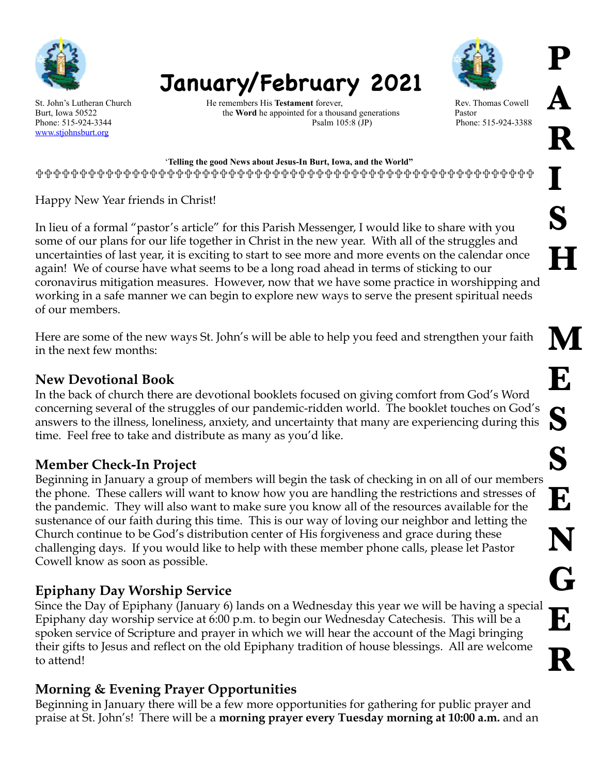





[www.stjohnsburt.org](http://www.stjohnsburt.org)

St. John's Lutheran Church **He remembers His Testament** forever, Rev. Thomas Cowell Burt, Iowa 50522 the **Word** he appointed for a thousand generations Pastor Phone: 515-924-3344 Psalm 105:8 (JP) Phone: 515-924-3388 Psalm 105:8 (JP) Phone: 515-924-3388

**P** 

**A** 

**R** 

**I** 

**S** 

**H** 

 '**Telling the good News about Jesus-In Burt, Iowa, and the World"**  !!!!!!!!!!!!!!!!!!!!!!!!!!!!!!!!!!!!!!!!!!!!!!!!!!!!!!!!!

Happy New Year friends in Christ!

In lieu of a formal "pastor's article" for this Parish Messenger, I would like to share with you some of our plans for our life together in Christ in the new year. With all of the struggles and uncertainties of last year, it is exciting to start to see more and more events on the calendar once again! We of course have what seems to be a long road ahead in terms of sticking to our coronavirus mitigation measures. However, now that we have some practice in worshipping and working in a safe manner we can begin to explore new ways to serve the present spiritual needs of our members.

Here are some of the new ways St. John's will be able to help you feed and strengthen your faith in the next few months:

### **New Devotional Book**

In the back of church there are devotional booklets focused on giving comfort from God's Word concerning several of the struggles of our pandemic-ridden world. The booklet touches on God's answers to the illness, loneliness, anxiety, and uncertainty that many are experiencing during this time. Feel free to take and distribute as many as you'd like.

### **Member Check-In Project**

Beginning in January a group of members will begin the task of checking in on all of our members the phone. These callers will want to know how you are handling the restrictions and stresses of the pandemic. They will also want to make sure you know all of the resources available for the sustenance of our faith during this time. This is our way of loving our neighbor and letting the Church continue to be God's distribution center of His forgiveness and grace during these challenging days. If you would like to help with these member phone calls, please let Pastor Cowell know as soon as possible.

# **Epiphany Day Worship Service**

Since the Day of Epiphany (January 6) lands on a Wednesday this year we will be having a special Epiphany day worship service at 6:00 p.m. to begin our Wednesday Catechesis. This will be a spoken service of Scripture and prayer in which we will hear the account of the Magi bringing their gifts to Jesus and reflect on the old Epiphany tradition of house blessings. All are welcome to attend!

# **Morning & Evening Prayer Opportunities**

Beginning in January there will be a few more opportunities for gathering for public prayer and praise at St. John's! There will be a **morning prayer every Tuesday morning at 10:00 a.m.** and an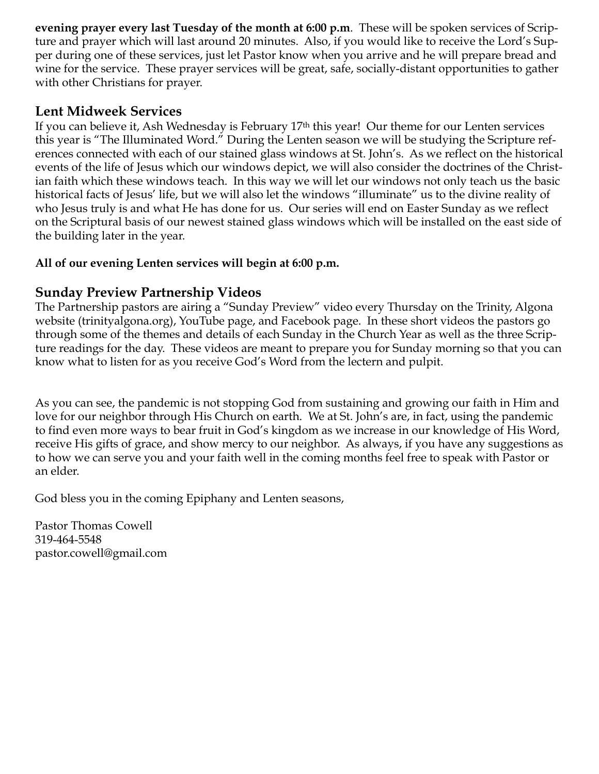**evening prayer every last Tuesday of the month at 6:00 p.m**. These will be spoken services of Scripture and prayer which will last around 20 minutes. Also, if you would like to receive the Lord's Supper during one of these services, just let Pastor know when you arrive and he will prepare bread and wine for the service. These prayer services will be great, safe, socially-distant opportunities to gather with other Christians for prayer.

#### **Lent Midweek Services**

If you can believe it, Ash Wednesday is February 17th this year! Our theme for our Lenten services this year is "The Illuminated Word." During the Lenten season we will be studying the Scripture references connected with each of our stained glass windows at St. John's. As we reflect on the historical events of the life of Jesus which our windows depict, we will also consider the doctrines of the Christian faith which these windows teach. In this way we will let our windows not only teach us the basic historical facts of Jesus' life, but we will also let the windows "illuminate" us to the divine reality of who Jesus truly is and what He has done for us. Our series will end on Easter Sunday as we reflect on the Scriptural basis of our newest stained glass windows which will be installed on the east side of the building later in the year.

#### **All of our evening Lenten services will begin at 6:00 p.m.**

### **Sunday Preview Partnership Videos**

The Partnership pastors are airing a "Sunday Preview" video every Thursday on the Trinity, Algona website (trinityalgona.org), YouTube page, and Facebook page. In these short videos the pastors go through some of the themes and details of each Sunday in the Church Year as well as the three Scripture readings for the day. These videos are meant to prepare you for Sunday morning so that you can know what to listen for as you receive God's Word from the lectern and pulpit.

As you can see, the pandemic is not stopping God from sustaining and growing our faith in Him and love for our neighbor through His Church on earth. We at St. John's are, in fact, using the pandemic to find even more ways to bear fruit in God's kingdom as we increase in our knowledge of His Word, receive His gifts of grace, and show mercy to our neighbor. As always, if you have any suggestions as to how we can serve you and your faith well in the coming months feel free to speak with Pastor or an elder.

God bless you in the coming Epiphany and Lenten seasons,

Pastor Thomas Cowell 319-464-5548 pastor.cowell@gmail.com